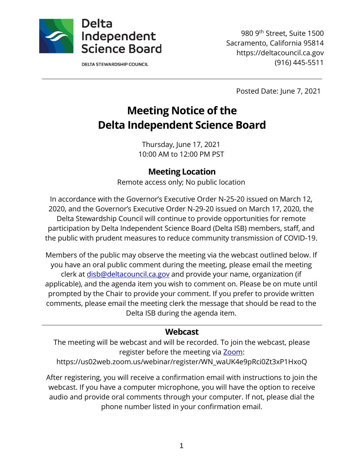

**DELTA STEWARDSHIP COUNCIL** 

980 9th Street, Suite 1500 Sacramento, California 95814 https://deltacouncil.ca.gov (916) 445-5511

Posted Date: June 7, 2021

# **Meeting Notice of the Delta Independent Science Board**

Thursday, June 17, 2021 10:00 AM to 12:00 PM PST

#### **Meeting Location**

Remote access only; No public location

In accordance with the Governor's Executive Order N-25-20 issued on March 12, 2020, and the Governor's Executive Order N-29-20 issued on March 17, 2020, the Delta Stewardship Council will continue to provide opportunities for remote participation by Delta Independent Science Board (Delta ISB) members, staff, and the public with prudent measures to reduce community transmission of COVID-19.

Members of the public may observe the meeting via the webcast outlined below. If you have an oral public comment during the meeting, please email the meeting clerk at [disb@deltacouncil.ca.gov](mailto:disb@deltacouncil.ca.gov) and provide your name, organization (if applicable), and the agenda item you wish to comment on. Please be on mute until prompted by the Chair to provide your comment. If you prefer to provide written comments, please email the meeting clerk the message that should be read to the Delta ISB during the agenda item.

#### **Webcast**

The meeting will be webcast and will be recorded. To join the webcast, please register before the meeting via [Zoom:](https://us02web.zoom.us/webinar/register/WN_waUK4e9pRci0Zt3xP1HxoQ)

https://us02web.zoom.us/webinar/register/WN\_waUK4e9pRci0Zt3xP1HxoQ

After registering, you will receive a confirmation email with instructions to join the webcast. If you have a computer microphone, you will have the option to receive audio and provide oral comments through your computer. If not, please dial the phone number listed in your confirmation email.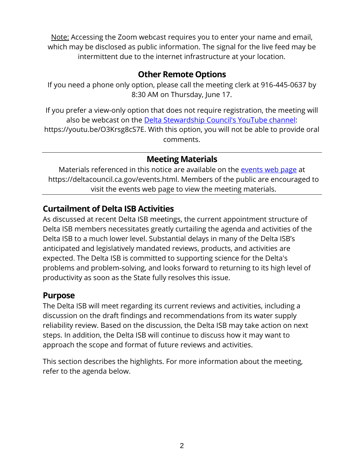Note: Accessing the Zoom webcast requires you to enter your name and email, which may be disclosed as public information. The signal for the live feed may be intermittent due to the internet infrastructure at your location.

## **Other Remote Options**

If you need a phone only option, please call the meeting clerk at 916-445-0637 by 8:30 AM on Thursday, June 17.

If you prefer a view-only option that does not require registration, the meeting will also be webcast on the [Delta Stewardship Council's YouTube channel:](https://youtu.be/O3Krsg8cS7E) https://youtu.be/O3Krsg8cS7E. With this option, you will not be able to provide oral comments.

### **Meeting Materials**

Materials referenced in this notice are available on the [events web page](https://deltacouncil.ca.gov/events.html) at https://deltacouncil.ca.gov/events.html. Members of the public are encouraged to visit the events web page to view the meeting materials.

# **Curtailment of Delta ISB Activities**

As discussed at recent Delta ISB meetings, the current appointment structure of Delta ISB members necessitates greatly curtailing the agenda and activities of the Delta ISB to a much lower level. Substantial delays in many of the Delta ISB's anticipated and legislatively mandated reviews, products, and activities are expected. The Delta ISB is committed to supporting science for the Delta's problems and problem-solving, and looks forward to returning to its high level of productivity as soon as the State fully resolves this issue.

#### **Purpose**

The Delta ISB will meet regarding its current reviews and activities, including a discussion on the draft findings and recommendations from its water supply reliability review. Based on the discussion, the Delta ISB may take action on next steps. In addition, the Delta ISB will continue to discuss how it may want to approach the scope and format of future reviews and activities.

This section describes the highlights. For more information about the meeting, refer to the agenda below.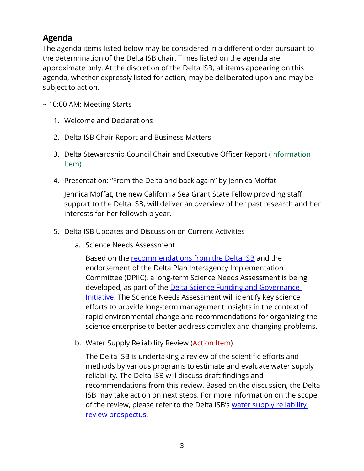# **Agenda**

The agenda items listed below may be considered in a different order pursuant to the determination of the Delta ISB chair. Times listed on the agenda are approximate only. At the discretion of the Delta ISB, all items appearing on this agenda, whether expressly listed for action, may be deliberated upon and may be subject to action.

~ 10:00 AM: Meeting Starts

- 1. Welcome and Declarations
- 2. Delta ISB Chair Report and Business Matters
- 3. Delta Stewardship Council Chair and Executive Officer Report (Information Item)
- 4. Presentation: "From the Delta and back again" by Jennica Moffat

Jennica Moffat, the new California Sea Grant State Fellow providing staff support to the Delta ISB, will deliver an overview of her past research and her interests for her fellowship year.

- 5. Delta ISB Updates and Discussion on Current Activities
	- a. Science Needs Assessment

Based on the [recommendations from the Delta ISB](https://www.deltacouncil.ca.gov/pdf/isb/products/2019-02-11-isb-letter-to-dpiic.pdf) and the endorsement of the Delta Plan Interagency Implementation Committee (DPIIC), a long-term Science Needs Assessment is being developed, as part of the **Delta Science Funding and Governance** [Initiative.](https://deltacouncil.ca.gov/pdf/dpiic/meeting-materials/2020-03-03-final-dsfgi.pdf) The Science Needs Assessment will identify key science efforts to provide long-term management insights in the context of rapid environmental change and recommendations for organizing the science enterprise to better address complex and changing problems.

b. Water Supply Reliability Review (Action Item)

The Delta ISB is undertaking a review of the scientific efforts and methods by various programs to estimate and evaluate water supply reliability. The Delta ISB will discuss draft findings and recommendations from this review. Based on the discussion, the Delta ISB may take action on next steps. For more information on the scope of the review, please refer to the Delta ISB's water supply reliability [review prospectus.](http://deltacouncil.ca.gov/pdf/isb/products/2018-04-03-isb-water-supply-prospectus.pdf)